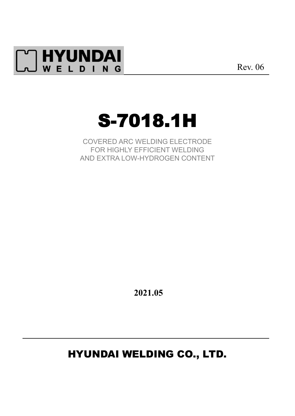

Rev. 06

# S-7018.1H

COVERED ARC WELDING ELECTRODE FOR HIGHLY EFFICIENT WELDING AND EXTRA LOW-HYDROGEN CONTENT

**2021.05**

## HYUNDAI WELDING CO., LTD.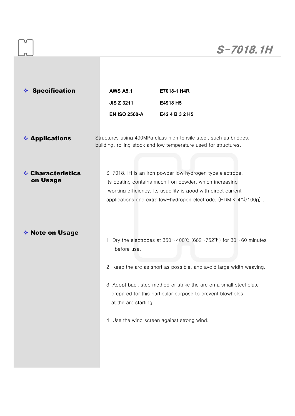| <b>Specification</b><br><b>AWS A5.1</b><br>E7018-1 H4R<br><b>JIS Z 3211</b><br>E4918 H5<br><b>EN ISO 2560-A</b><br>E42 4 B 3 2 H5<br>❖ Applications<br>Structures using 490MPa class high tensile steel, such as bridges,<br>building, rolling stock and low temperature used for structures.<br><b>❖ Characteristics</b><br>S-7018.1H is an iron powder low hydrogen type electrode.<br>on Usage<br>Its coating contains much iron powder, which increasing<br>working efficiency. Its usability is good with direct current<br>applications and extra low-hydrogen electrode. (HDM $\leq 4$ m $\ell$ /100g).<br><b>♦ Note on Usage</b><br>1. Dry the electrodes at $350 \sim 400 \degree$ (662~752°F) for 30~60 minutes<br>before use.<br>2. Keep the arc as short as possible, and avoid large width weaving.<br>3. Adopt back step method or strike the arc on a small steel plate<br>prepared for this particular purpose to prevent blowholes<br>at the arc starting.<br>4. Use the wind screen against strong wind. |  |
|----------------------------------------------------------------------------------------------------------------------------------------------------------------------------------------------------------------------------------------------------------------------------------------------------------------------------------------------------------------------------------------------------------------------------------------------------------------------------------------------------------------------------------------------------------------------------------------------------------------------------------------------------------------------------------------------------------------------------------------------------------------------------------------------------------------------------------------------------------------------------------------------------------------------------------------------------------------------------------------------------------------------------|--|
|                                                                                                                                                                                                                                                                                                                                                                                                                                                                                                                                                                                                                                                                                                                                                                                                                                                                                                                                                                                                                            |  |
|                                                                                                                                                                                                                                                                                                                                                                                                                                                                                                                                                                                                                                                                                                                                                                                                                                                                                                                                                                                                                            |  |
|                                                                                                                                                                                                                                                                                                                                                                                                                                                                                                                                                                                                                                                                                                                                                                                                                                                                                                                                                                                                                            |  |
|                                                                                                                                                                                                                                                                                                                                                                                                                                                                                                                                                                                                                                                                                                                                                                                                                                                                                                                                                                                                                            |  |
|                                                                                                                                                                                                                                                                                                                                                                                                                                                                                                                                                                                                                                                                                                                                                                                                                                                                                                                                                                                                                            |  |
|                                                                                                                                                                                                                                                                                                                                                                                                                                                                                                                                                                                                                                                                                                                                                                                                                                                                                                                                                                                                                            |  |
|                                                                                                                                                                                                                                                                                                                                                                                                                                                                                                                                                                                                                                                                                                                                                                                                                                                                                                                                                                                                                            |  |
|                                                                                                                                                                                                                                                                                                                                                                                                                                                                                                                                                                                                                                                                                                                                                                                                                                                                                                                                                                                                                            |  |
|                                                                                                                                                                                                                                                                                                                                                                                                                                                                                                                                                                                                                                                                                                                                                                                                                                                                                                                                                                                                                            |  |
|                                                                                                                                                                                                                                                                                                                                                                                                                                                                                                                                                                                                                                                                                                                                                                                                                                                                                                                                                                                                                            |  |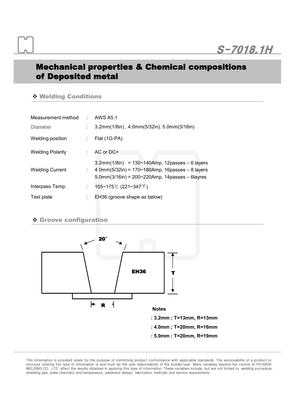## Mechanical properties & Chemical compositions of Deposited metal

#### v Welding Conditions

| Measurement method : AWS A5.1 |    |                                                                                                                                                                    |
|-------------------------------|----|--------------------------------------------------------------------------------------------------------------------------------------------------------------------|
| Diameter                      | ÷. | 3.2mm(1/8in), 4.0mm(5/32in). 5.0mm(3/16in)                                                                                                                         |
| Welding position              | ÷. | Flat (1G-PA)                                                                                                                                                       |
| <b>Welding Polarity</b>       | ÷. | AC or DC+                                                                                                                                                          |
| <b>Welding Current</b>        | t. | $3.2mm(1/8in) = 130~140Amp$ , 12passes - 6 layers<br>4 0mm( $5/32$ in) = 170~180Amp, 16passes - 8 layers<br>$5.0$ mm $(3/16)$ in) = 200~220Amp, 14passes – 6layres |
| Interpass Temp.               | t. | 105~175℃ (221~347°F)                                                                                                                                               |
| Test plate                    | ÷. | EH36 (groove shape as below)                                                                                                                                       |

## v Groove configuration



This information is provided solely for the purpose of confirming product conformance with applicable standards. The serviceability of a product or structure utilizing this type of information is and must be the sole responsibility of the builder/user. Many variables beyond the control of HYUNDAI WELDING CO., LTD. affect the results obtained in applying this type of information. These variables include, but are notlimited to, welding procedure, shielding gas, plate chemistry and temperature, weldment design, fabrication methods and service requirements.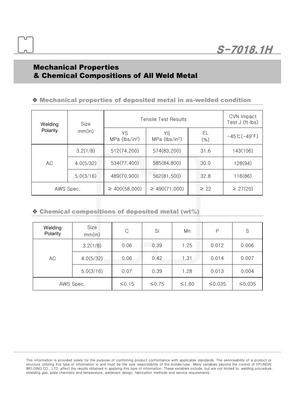## Mechanical Properties & Chemical Compositions of All Weld Metal

## v Mechanical properties of deposited metal in as-welded condition

| Welding   | <b>Tensile Test Results</b><br>Size |                                  |                                  | CVN Impact<br>Test J (ft·lbs) |                                   |
|-----------|-------------------------------------|----------------------------------|----------------------------------|-------------------------------|-----------------------------------|
| Polarity  | mm(in)                              | YS<br>MPa (lbs/in <sup>2</sup> ) | YS<br>MPa (lbs/in <sup>2</sup> ) | EL<br>(%)                     | $-45^{\circ}$ C( $-49^{\circ}$ F) |
|           | 3.2(1/8)                            | 512(74,200)                      | 574(83,200)                      | 31.6                          | 143(106)                          |
| AC.       | 4.0(5/32)                           | 534(77,400)                      | 585(84,800)                      | 30.0                          | 128(94)                           |
|           | 5.0(3/16)                           | 489(70,900)                      | 562(81,500)                      | 32.8                          | 116(86)                           |
| AWS Spec. |                                     | $\geq 400(58,000)$               | $\geq 490(71,000)$               | $\geq$ 22                     | $\geq$ 27(20)                     |

### $\cdot$  Chemical compositions of deposited metal (wt%)

| Welding<br>Polarity | Size<br>mm(in) | C       | Si    | Mn      | P      | S      |
|---------------------|----------------|---------|-------|---------|--------|--------|
|                     | 3.2(1/8)       | 0.06    | 0.39  | 1.25    | 0.012  | 0.006  |
| АC                  | 4.0(5/32)      | 0.06    | 0.42  | 1.31    | 0.014  | 0.007  |
|                     | 5.0(3/16)      | 0.07    | 0.39  | 1.28    | 0.013  | 0.004  |
| AWS Spec.           |                | $≤0.15$ | ≤0.75 | $≤1.60$ | ≤0.035 | ≤0.035 |

This information is provided solely for the purpose of confirming product conformance with applicable standards. The serviceability of a product or structure utilizing this type of information is and must be the sole responsibility of the builder/user. Many variables beyond the control of HYUNDAI WELDING CO., LTD. affect the results obtained in applying this type of information. These variables include, but are notlimited to, welding procedure, shielding gas, plate chemistry and temperature, weldment design, fabrication methods and service requirements.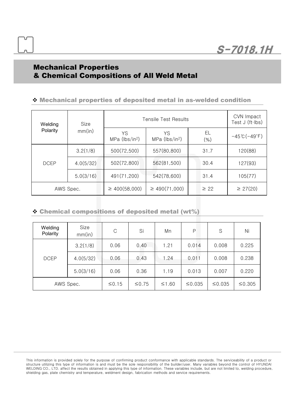## Mechanical Properties & Chemical Compositions of All Weld Metal

### v Mechanical properties of deposited metal in as-welded condition

| Welding     | Size      |                                    | <b>Tensile Test Results</b>      |               | CVN Impact<br>Test J (ft·lbs)      |
|-------------|-----------|------------------------------------|----------------------------------|---------------|------------------------------------|
| Polarity    | mm(in)    | YS<br>$MPa$ (lbs/in <sup>2</sup> ) | YS<br>MPa (lbs/in <sup>2</sup> ) | EL<br>$(\% )$ | $-45^{\circ}$ C ( $-49^{\circ}$ F) |
|             | 3.2(1/8)  | 500(72,500)                        | 557(80,800)                      | 31.7          | 120(88)                            |
| <b>DCEP</b> | 4.0(5/32) | 502(72,800)                        | 562(81,500)                      | 30.4          | 127(93)                            |
|             | 5.0(3/16) | 491(71,200)                        | 542(78,600)                      | 31.4          | 105(77)                            |
| AWS Spec.   |           | $\geq 400(58,000)$                 | $\geq 490(71,000)$               | $\geq$ 22     | $\geq$ 27(20)                      |

### $\cdot$  Chemical compositions of deposited metal (wt%)

| Welding<br>Polarity | Size<br>mm(in) | С       | Si    | Mn      | P      | S      | Ni      |
|---------------------|----------------|---------|-------|---------|--------|--------|---------|
|                     | 3.2(1/8)       | 0.06    | 0.40  | 1.21    | 0.014  | 0.008  | 0.225   |
| <b>DCEP</b>         | 4.0(5/32)      | 0.06    | 0.43  | 1.24    | 0.011  | 0.008  | 0.238   |
|                     | 5.0(3/16)      | 0.06    | 0.36  | 1.19    | 0.013  | 0.007  | 0.220   |
| AWS Spec.           |                | $≤0.15$ | ≤0.75 | $≤1.60$ | ≤0.035 | ≤0.035 | ≤ 0.305 |

This information is provided solely for the purpose of confirming product conformance with applicable standards. The serviceability of a product or structure utilizing this type of information is and must be the sole responsibility of the builder/user. Many variables beyond the control of HYUNDAI WELDING CO., LTD. affect the results obtained in applying this type of information. These variables include, but are notlimited to, welding procedure, shielding gas, plate chemistry and temperature, weldment design, fabrication methods and service requirements.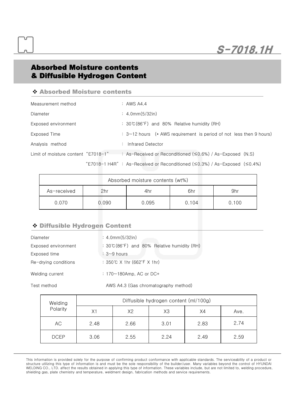S-7018.1H

## Absorbed Moisture contents & Diffusible Hydrogen Content

#### v Absorbed Moisture contents

| Measurement method                  | $:$ AWS A4.4                                                        |
|-------------------------------------|---------------------------------------------------------------------|
| Diameter                            | $: 4.0$ mm $(5/32$ in)                                              |
| Exposed environment                 | : $30^{\circ}C(86^{\circ}F)$ and 80% Relative humidity (RH)         |
| Exposed Time                        | : 3~12 hours (* AWS requirement is period of not less then 9 hours) |
| Analysis method                     | Infrared Detector                                                   |
| Limit of moisture content "E7018-1" | : As-Received or Reconditioned ( $\leq$ 0.6%) / As-Exposed (N.S)    |

"E7018-1 H4R" : As-Received or Reconditioned (≤0.3%) / As-Exposed (≤0.4%)

| Absorbed moisture contents (wt%) |       |       |       |       |  |
|----------------------------------|-------|-------|-------|-------|--|
| As-received                      | 2hr   | 4hr   | 6hr   | 9hr   |  |
| 0.070                            | 0.090 | 0.095 | 0.104 | 0.100 |  |

### v Diffusible Hydrogen Content

| Diameter             | : 4.0mm(5/32in)                                                |
|----------------------|----------------------------------------------------------------|
| Exposed environment  | : $30^{\circ}C(86^{\circ}F)$ and $80\%$ Relative humidity (RH) |
| Exposed time         | $: 3 - 9$ hours                                                |
| Re-drying conditions | : 350℃ X 1hr (662°F X 1hr)                                     |
| Welding current      | : $170 \sim 180$ Amp, AC or DC+                                |
| Test method          | AWS A4.3 (Gas chromatography method)                           |

| Welding     | Diffusible hydrogen content (ml/100g) |      |      |      |      |  |
|-------------|---------------------------------------|------|------|------|------|--|
| Polarity    | Х1                                    | X2   | X3   | X4   | Ave. |  |
| АC          | 2.48                                  | 2.66 | 3.01 | 2.83 | 2.74 |  |
| <b>DCEP</b> | 3.06                                  | 2.55 | 2.24 | 2.49 | 2.59 |  |

This information is provided solely for the purpose of confirming product conformance with applicable standards. The serviceability of a product or structure utilizing this type of information is and must be the sole responsibility of the builder/user. Many variables beyond the control of HYUNDAI WELDING CO., LTD. affect the results obtained in applying this type of information. These variables include, but are notlimited to, welding procedure, shielding gas, plate chemistry and temperature, weldment design, fabrication methods and service requirements.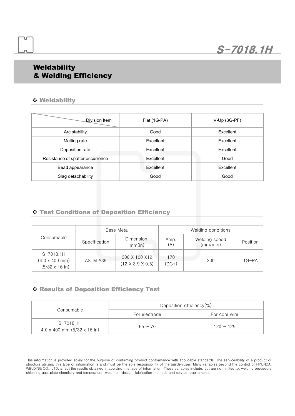## **Weldability** & Welding Efficiency

#### v Weldability

| Division Item                    | Flat (1G-PA) | V-Up (3G-PF)     |
|----------------------------------|--------------|------------------|
| Arc stability                    | Good         | <b>Fxcellent</b> |
| Melting rate                     | Excellent    | Excellent        |
| Deposition rate                  | Excellent    | Excellent        |
| Resistance of spatter occurrence | Excellent    | Good             |
| Bead appearance                  | Excellent    | Excellent        |
| Slag detachability               | Good         | Good             |

## v Test Conditions of Deposition Efficiency

|                                                                               | Base Metal    |                                               | Welding conditions |                           |          |  |
|-------------------------------------------------------------------------------|---------------|-----------------------------------------------|--------------------|---------------------------|----------|--|
| Consumable                                                                    | Specification | Dimension,<br>mm(in)                          | Amp.<br>(A)        | Welding speed<br>(mm/min) | Position |  |
| $S-7018.1H$<br>$(4.0 \times 400 \text{ mm})$<br>$(5/32 \times 16 \text{ in})$ | ASTM A36      | 300 X 100 X12<br>$(12 \times 3.9 \times 0.5)$ | 170<br>$(DC+)$     | 200                       | $1G-PA$  |  |

#### v Results of Deposition Efficiency Test

|                                                        | Deposition efficiency(%) |                |  |
|--------------------------------------------------------|--------------------------|----------------|--|
| Consumable                                             | For electrode            | For core wire  |  |
| S-7018.1H<br>$4.0 \times 400$ mm $(5/32 \times 16)$ in | $65 \sim 70$             | $120 \sim 125$ |  |

This information is provided solely for the purpose of confirming product conformance with applicable standards. The serviceability of a product or structure utilizing this type of information is and must be the sole responsibility of the builder/user. Many variables beyond the control of HYUNDAI WELDING CO., LTD. affect the results obtained in applying this type of information. These variables include, but are notlimited to, welding procedure, shielding gas, plate chemistry and temperature, weldment design, fabrication methods and service requirements.